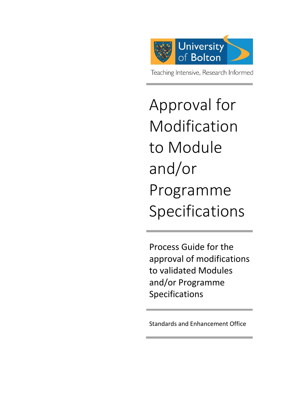

# Approval for Modification to Module and/or Programme Specifications

Process Guide for the approval of modifications to validated Modules and/or Programme Specifications

Standards and Enhancement Office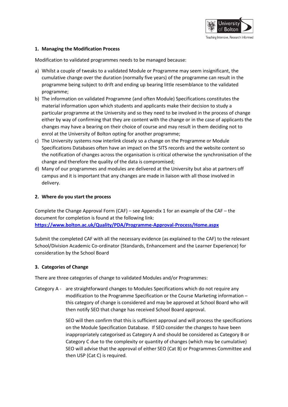

## **1. Managing the Modification Process**

Modification to validated programmes needs to be managed because:

- a) Whilst a couple of tweaks to a validated Module or Programme may seem insignificant, the cumulative change over the duration (normally five years) of the programme can result in the programme being subject to drift and ending up bearing little resemblance to the validated programme;
- b) The information on validated Programme (and often Module) Specifications constitutes the material information upon which students and applicants make their decision to study a particular programme at the University and so they need to be involved in the process of change either by way of confirming that they are content with the change or in the case of applicants the changes may have a bearing on their choice of course and may result in them deciding not to enrol at the University of Bolton opting for another programme;
- c) The University systems now interlink closely so a change on the Programme or Module Specifications Databases often have an impact on the SITS records and the website content so the notification of changes across the organisation is critical otherwise the synchronisation of the change and therefore the quality of the data is compromised;
- d) Many of our programmes and modules are delivered at the University but also at partners off campus and it is important that any changes are made in liaison with all those involved in delivery.

### **2. Where do you start the process**

Complete the Change Approval Form (CAF) – see Appendix 1 for an example of the CAF – the document for completion is found at the following link: **<https://www.bolton.ac.uk/Quality/PDA/Programme-Approval-Process/Home.aspx>**

Submit the completed CAF with all the necessary evidence (as explained to the CAF) to the relevant School/Division Academic Co-ordinator (Standards, Enhancement and the Learner Experience) for consideration by the School Board

## **3. Categories of Change**

There are three categories of change to validated Modules and/or Programmes:

Category A - are straightforward changes to Modules Specifications which do not require any modification to the Programme Specification or the Course Marketing information – this category of change is considered and may be approved at School Board who will then notify SEO that change has received School Board approval.

> SEO will then confirm that this is sufficient approval and will process the specifications on the Module Specification Database. If SEO consider the changes to have been inappropriately categorised as Category A and should be considered as Category B or Category C due to the complexity or quantity of changes (which may be cumulative) SEO will advise that the approval of either SEO (Cat B) or Programmes Committee and then USP (Cat C) is required.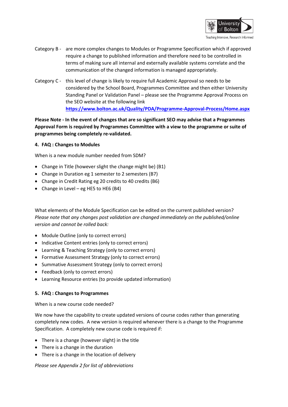

- Category B are more complex changes to Modules or Programme Specification which if approved require a change to published information and therefore need to be controlled in terms of making sure all internal and externally available systems correlate and the communication of the changed information is managed appropriately.
- Category C this level of change is likely to require full Academic Approval so needs to be considered by the School Board, Programmes Committee and then either University Standing Panel or Validation Panel – please see the Programme Approval Process on the SEO website at the following link **<https://www.bolton.ac.uk/Quality/PDA/Programme-Approval-Process/Home.aspx>**

**Please Note - In the event of changes that are so significant SEO may advise that a Programmes Approval Form is required by Programmes Committee with a view to the programme or suite of programmes being completely re-validated.**

## **4. FAQ : Changes to Modules**

When is a new module number needed from SDM?

- Change in Title (however slight the change might be) (B1)
- Change in Duration eg 1 semester to 2 semesters (B7)
- Change in Credit Rating eg 20 credits to 40 credits (B6)
- Change in Level eg HE5 to HE6 (B4)

What elements of the Module Specification can be edited on the current published version? *Please note that any changes post validation are changed immediately on the published/online version and cannot be rolled back:*

- Module Outline (only to correct errors)
- Indicative Content entries (only to correct errors)
- Learning & Teaching Strategy (only to correct errors)
- Formative Assessment Strategy (only to correct errors)
- Summative Assessment Strategy (only to correct errors)
- Feedback (only to correct errors)
- Learning Resource entries (to provide updated information)

### **5. FAQ : Changes to Programmes**

When is a new course code needed?

We now have the capability to create updated versions of course codes rather than generating completely new codes. A new version is required whenever there is a change to the Programme Specification. A completely new course code is required if:

- There is a change (however slight) in the title
- There is a change in the duration
- There is a change in the location of delivery

*Please see Appendix 2 for list of abbreviations*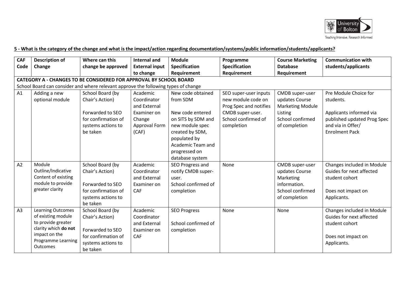

## **5 - What is the category of the change and what is the impact/action regarding documentation/systems/public information/students/applicants?**

| <b>CAF</b>                                                                         | <b>Description of</b>                                              | Where can this      | <b>Internal and</b>   | <b>Module</b>            | Programme              | <b>Course Marketing</b> | <b>Communication with</b>   |  |  |  |
|------------------------------------------------------------------------------------|--------------------------------------------------------------------|---------------------|-----------------------|--------------------------|------------------------|-------------------------|-----------------------------|--|--|--|
| Code                                                                               | Change                                                             | change be approved  | <b>External input</b> | <b>Specification</b>     | Specification          | <b>Database</b>         | students/applicants         |  |  |  |
|                                                                                    |                                                                    |                     | to change             | Requirement              | Requirement            | Requirement             |                             |  |  |  |
|                                                                                    | CATEGORY A - CHANGES TO BE CONSIDERED FOR APPROVAL BY SCHOOL BOARD |                     |                       |                          |                        |                         |                             |  |  |  |
| School Board can consider and where relevant approve the following types of change |                                                                    |                     |                       |                          |                        |                         |                             |  |  |  |
| A1                                                                                 | Adding a new                                                       | School Board (by    | Academic              | New code obtained        | SEO super-user inputs  | CMDB super-user         | Pre Module Choice for       |  |  |  |
|                                                                                    | optional module                                                    | Chair's Action)     | Coordinator           | from SDM                 | new module code on     | updates Course          | students.                   |  |  |  |
|                                                                                    |                                                                    |                     | and External          |                          | Prog Spec and notifies | <b>Marketing Module</b> |                             |  |  |  |
|                                                                                    |                                                                    | Forwarded to SEO    | Examiner on           | New code entered         | CMDB super-user.       | Listing                 | Applicants informed via     |  |  |  |
|                                                                                    |                                                                    | for confirmation of | Change                | on SITS by SDM and       | School confirmed of    | School confirmed        | published updated Prog Spec |  |  |  |
|                                                                                    |                                                                    | systems actions to  | Approval Form         | new module spec          | completion             | of completion           | and via in Offer/           |  |  |  |
|                                                                                    |                                                                    | be taken            | (CAF)                 | created by SDM,          |                        |                         | <b>Enrolment Pack</b>       |  |  |  |
|                                                                                    |                                                                    |                     |                       | populated by             |                        |                         |                             |  |  |  |
|                                                                                    |                                                                    |                     |                       | <b>Academic Team and</b> |                        |                         |                             |  |  |  |
|                                                                                    |                                                                    |                     |                       | progressed on            |                        |                         |                             |  |  |  |
|                                                                                    |                                                                    |                     |                       | database system          |                        |                         |                             |  |  |  |
| A2                                                                                 | Module                                                             | School Board (by    | Academic              | SEO Progress and         | None                   | CMDB super-user         | Changes included in Module  |  |  |  |
|                                                                                    | Outline/Indicative                                                 | Chair's Action)     | Coordinator           | notify CMDB super-       |                        | updates Course          | Guides for next affected    |  |  |  |
|                                                                                    | Content of existing                                                |                     | and External          | user.                    |                        | Marketing               | student cohort              |  |  |  |
|                                                                                    | module to provide                                                  | Forwarded to SEO    | Examiner on           | School confirmed of      |                        | information.            |                             |  |  |  |
|                                                                                    | greater clarity                                                    | for confirmation of | <b>CAF</b>            | completion               |                        | School confirmed        | Does not impact on          |  |  |  |
|                                                                                    |                                                                    | systems actions to  |                       |                          |                        | of completion           | Applicants.                 |  |  |  |
|                                                                                    |                                                                    | be taken            |                       |                          |                        |                         |                             |  |  |  |
| A <sub>3</sub>                                                                     | <b>Learning Outcomes</b>                                           | School Board (by    | Academic              | <b>SEO Progress</b>      | None                   | None                    | Changes included in Module  |  |  |  |
|                                                                                    | of existing module                                                 | Chair's Action)     | Coordinator           |                          |                        |                         | Guides for next affected    |  |  |  |
|                                                                                    | to provide greater<br>clarity which do not                         |                     | and External          | School confirmed of      |                        |                         | student cohort              |  |  |  |
|                                                                                    | impact on the                                                      | Forwarded to SEO    | Examiner on           | completion               |                        |                         |                             |  |  |  |
|                                                                                    | Programme Learning                                                 | for confirmation of | <b>CAF</b>            |                          |                        |                         | Does not impact on          |  |  |  |
|                                                                                    | Outcomes                                                           | systems actions to  |                       |                          |                        |                         | Applicants.                 |  |  |  |
|                                                                                    |                                                                    | be taken            |                       |                          |                        |                         |                             |  |  |  |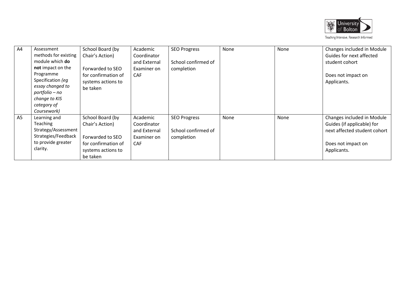

| A4             | Assessment           | School Board (by    | Academic     | <b>SEO Progress</b> | None | None | Changes included in Module   |
|----------------|----------------------|---------------------|--------------|---------------------|------|------|------------------------------|
|                | methods for existing | Chair's Action)     | Coordinator  |                     |      |      | Guides for next affected     |
|                | module which do      |                     | and External | School confirmed of |      |      | student cohort               |
|                | not impact on the    | Forwarded to SEO    | Examiner on  | completion          |      |      |                              |
|                | Programme            | for confirmation of | <b>CAF</b>   |                     |      |      | Does not impact on           |
|                | Specification (eg    | systems actions to  |              |                     |      |      | Applicants.                  |
|                | essay changed to     | be taken            |              |                     |      |      |                              |
|                | portfolio - no       |                     |              |                     |      |      |                              |
|                | change to KIS        |                     |              |                     |      |      |                              |
|                | category of          |                     |              |                     |      |      |                              |
|                | Coursework)          |                     |              |                     |      |      |                              |
| A <sub>5</sub> | Learning and         | School Board (by    | Academic     | <b>SEO Progress</b> | None | None | Changes included in Module   |
|                | Teaching             | Chair's Action)     | Coordinator  |                     |      |      | Guides (if applicable) for   |
|                | Strategy/Assessment  |                     | and External | School confirmed of |      |      | next affected student cohort |
|                | Strategies/Feedback  | Forwarded to SEO    | Examiner on  | completion          |      |      |                              |
|                | to provide greater   | for confirmation of | <b>CAF</b>   |                     |      |      | Does not impact on           |
|                | clarity.             | systems actions to  |              |                     |      |      | Applicants.                  |
|                |                      | be taken            |              |                     |      |      |                              |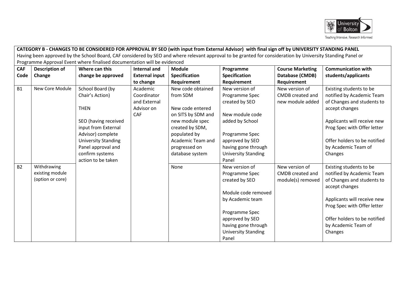

|                |                       |                                                                          |                       |                      | CATEGORY B - CHANGES TO BE CONSIDERED FOR APPROVAL BY SEO (with input from External Advisor) with final sign off by UNIVERSITY STANDING PANEL               |                         |                                              |  |
|----------------|-----------------------|--------------------------------------------------------------------------|-----------------------|----------------------|-------------------------------------------------------------------------------------------------------------------------------------------------------------|-------------------------|----------------------------------------------|--|
|                |                       |                                                                          |                       |                      | Having been approved by the School Board, CAF considered by SEO and where relevant approval to be granted for consideration by University Standing Panel or |                         |                                              |  |
|                |                       | Programme Approval Event where finalised documentation will be evidenced |                       |                      |                                                                                                                                                             |                         |                                              |  |
| <b>CAF</b>     | <b>Description of</b> | Where can this                                                           | <b>Internal and</b>   | <b>Module</b>        | Programme                                                                                                                                                   | <b>Course Marketing</b> | <b>Communication with</b>                    |  |
| Code           | Change                | change be approved                                                       | <b>External input</b> | <b>Specification</b> | <b>Specification</b>                                                                                                                                        | Database (CMDB)         | students/applicants                          |  |
|                |                       |                                                                          | to change             | Requirement          | <b>Requirement</b>                                                                                                                                          | Requirement             |                                              |  |
| <b>B1</b>      | New Core Module       | School Board (by                                                         | Academic              | New code obtained    | New version of                                                                                                                                              | New version of          | Existing students to be                      |  |
|                |                       | Chair's Action)                                                          | Coordinator           | from SDM             | Programme Spec                                                                                                                                              | CMDB created and        | notified by Academic Team                    |  |
|                |                       |                                                                          | and External          |                      | created by SEO                                                                                                                                              | new module added        | of Changes and students to                   |  |
|                |                       | <b>THEN</b>                                                              | Advisor on            | New code entered     |                                                                                                                                                             |                         | accept changes                               |  |
|                |                       |                                                                          | <b>CAF</b>            | on SITS by SDM and   | New module code                                                                                                                                             |                         |                                              |  |
|                |                       | SEO (having received                                                     |                       | new module spec      | added by School                                                                                                                                             |                         | Applicants will receive new                  |  |
|                |                       | input from External                                                      |                       | created by SDM,      |                                                                                                                                                             |                         | Prog Spec with Offer letter                  |  |
|                |                       | Advisor) complete                                                        |                       | populated by         | Programme Spec                                                                                                                                              |                         |                                              |  |
|                |                       | <b>University Standing</b>                                               |                       | Academic Team and    | approved by SEO                                                                                                                                             |                         | Offer holders to be notified                 |  |
|                |                       | Panel approval and                                                       |                       | progressed on        | having gone through                                                                                                                                         |                         | by Academic Team of                          |  |
|                |                       | confirm systems                                                          |                       | database system      | <b>University Standing</b>                                                                                                                                  |                         | Changes                                      |  |
|                |                       | action to be taken                                                       |                       |                      | Panel                                                                                                                                                       |                         |                                              |  |
| B <sub>2</sub> | Withdrawing           |                                                                          |                       | None                 | New version of                                                                                                                                              | New version of          | Existing students to be                      |  |
|                | existing module       |                                                                          |                       |                      | Programme Spec                                                                                                                                              | CMDB created and        | notified by Academic Team                    |  |
|                | (option or core)      |                                                                          |                       |                      | created by SEO                                                                                                                                              | module(s) removed       | of Changes and students to<br>accept changes |  |
|                |                       |                                                                          |                       |                      | Module code removed                                                                                                                                         |                         |                                              |  |
|                |                       |                                                                          |                       |                      | by Academic team                                                                                                                                            |                         | Applicants will receive new                  |  |
|                |                       |                                                                          |                       |                      |                                                                                                                                                             |                         | Prog Spec with Offer letter                  |  |
|                |                       |                                                                          |                       |                      | Programme Spec                                                                                                                                              |                         |                                              |  |
|                |                       |                                                                          |                       |                      | approved by SEO                                                                                                                                             |                         | Offer holders to be notified                 |  |
|                |                       |                                                                          |                       |                      | having gone through                                                                                                                                         |                         | by Academic Team of                          |  |
|                |                       |                                                                          |                       |                      | <b>University Standing</b>                                                                                                                                  |                         | Changes                                      |  |
|                |                       |                                                                          |                       |                      | Panel                                                                                                                                                       |                         |                                              |  |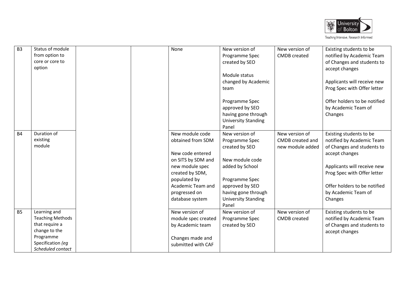

| B <sub>3</sub> | Status of module        |  | None                | New version of             | New version of      | Existing students to be      |
|----------------|-------------------------|--|---------------------|----------------------------|---------------------|------------------------------|
|                | from option to          |  |                     | Programme Spec             | <b>CMDB</b> created | notified by Academic Team    |
|                | core or core to         |  |                     | created by SEO             |                     | of Changes and students to   |
|                | option                  |  |                     |                            |                     | accept changes               |
|                |                         |  |                     | Module status              |                     |                              |
|                |                         |  |                     | changed by Academic        |                     | Applicants will receive new  |
|                |                         |  |                     | team                       |                     | Prog Spec with Offer letter  |
|                |                         |  |                     |                            |                     |                              |
|                |                         |  |                     | Programme Spec             |                     | Offer holders to be notified |
|                |                         |  |                     | approved by SEO            |                     | by Academic Team of          |
|                |                         |  |                     | having gone through        |                     | Changes                      |
|                |                         |  |                     | <b>University Standing</b> |                     |                              |
|                |                         |  |                     | Panel                      |                     |                              |
| <b>B4</b>      | Duration of             |  | New module code     | New version of             | New version of      | Existing students to be      |
|                | existing                |  | obtained from SDM   | Programme Spec             | CMDB created and    | notified by Academic Team    |
|                | module                  |  |                     | created by SEO             | new module added    | of Changes and students to   |
|                |                         |  | New code entered    |                            |                     | accept changes               |
|                |                         |  | on SITS by SDM and  | New module code            |                     |                              |
|                |                         |  | new module spec     | added by School            |                     | Applicants will receive new  |
|                |                         |  | created by SDM,     |                            |                     | Prog Spec with Offer letter  |
|                |                         |  | populated by        | Programme Spec             |                     |                              |
|                |                         |  | Academic Team and   | approved by SEO            |                     | Offer holders to be notified |
|                |                         |  | progressed on       | having gone through        |                     | by Academic Team of          |
|                |                         |  | database system     | <b>University Standing</b> |                     | Changes                      |
|                |                         |  |                     | Panel                      |                     |                              |
| <b>B5</b>      | Learning and            |  | New version of      | New version of             | New version of      | Existing students to be      |
|                | <b>Teaching Methods</b> |  | module spec created | Programme Spec             | <b>CMDB</b> created | notified by Academic Team    |
|                | that require a          |  | by Academic team    | created by SEO             |                     | of Changes and students to   |
|                | change to the           |  |                     |                            |                     | accept changes               |
|                | Programme               |  | Changes made and    |                            |                     |                              |
|                | Specification (eg       |  | submitted with CAF  |                            |                     |                              |
|                | Scheduled contact       |  |                     |                            |                     |                              |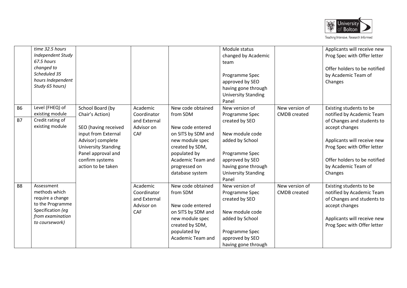

|           | time 32.5 hours<br><b>Independent Study</b><br>67.5 hours<br>changed to<br>Scheduled 35<br>hours Independent<br>Study 65 hours) |                                                                                                                                                               |                                                              |                                                                                                                                                       | Module status<br>changed by Academic<br>team<br>Programme Spec<br>approved by SEO<br>having gone through<br><b>University Standing</b><br>Panel         |                                       | Applicants will receive new<br>Prog Spec with Offer letter<br>Offer holders to be notified<br>by Academic Team of<br>Changes                                                 |
|-----------|---------------------------------------------------------------------------------------------------------------------------------|---------------------------------------------------------------------------------------------------------------------------------------------------------------|--------------------------------------------------------------|-------------------------------------------------------------------------------------------------------------------------------------------------------|---------------------------------------------------------------------------------------------------------------------------------------------------------|---------------------------------------|------------------------------------------------------------------------------------------------------------------------------------------------------------------------------|
| <b>B6</b> | Level (FHEQ) of<br>existing module                                                                                              | School Board (by<br>Chair's Action)                                                                                                                           | Academic<br>Coordinator                                      | New code obtained<br>from SDM                                                                                                                         | New version of<br>Programme Spec                                                                                                                        | New version of<br><b>CMDB</b> created | Existing students to be<br>notified by Academic Team                                                                                                                         |
| <b>B7</b> | Credit rating of<br>existing module                                                                                             | SEO (having received<br>input from External<br>Advisor) complete<br><b>University Standing</b><br>Panel approval and<br>confirm systems<br>action to be taken | and External<br>Advisor on<br>CAF                            | New code entered<br>on SITS by SDM and<br>new module spec<br>created by SDM,<br>populated by<br>Academic Team and<br>progressed on<br>database system | created by SEO<br>New module code<br>added by School<br>Programme Spec<br>approved by SEO<br>having gone through<br><b>University Standing</b><br>Panel |                                       | of Changes and students to<br>accept changes<br>Applicants will receive new<br>Prog Spec with Offer letter<br>Offer holders to be notified<br>by Academic Team of<br>Changes |
| <b>B8</b> | Assessment<br>methods which<br>require a change<br>to the Programme<br>Specification (eg<br>from examination<br>to coursework)  |                                                                                                                                                               | Academic<br>Coordinator<br>and External<br>Advisor on<br>CAF | New code obtained<br>from SDM<br>New code entered<br>on SITS by SDM and<br>new module spec<br>created by SDM,<br>populated by<br>Academic Team and    | New version of<br>Programme Spec<br>created by SEO<br>New module code<br>added by School<br>Programme Spec<br>approved by SEO<br>having gone through    | New version of<br><b>CMDB</b> created | Existing students to be<br>notified by Academic Team<br>of Changes and students to<br>accept changes<br>Applicants will receive new<br>Prog Spec with Offer letter           |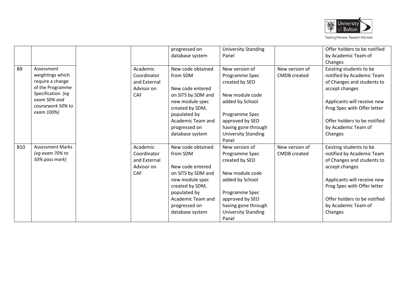

|            |                         |              | progressed on      | <b>University Standing</b> |                     | Offer holders to be notified |
|------------|-------------------------|--------------|--------------------|----------------------------|---------------------|------------------------------|
|            |                         |              | database system    | Panel                      |                     | by Academic Team of          |
|            |                         |              |                    |                            |                     | Changes                      |
| <b>B9</b>  | Assessment              | Academic     | New code obtained  | New version of             | New version of      | Existing students to be      |
|            | weightings which        | Coordinator  | from SDM           | Programme Spec             | <b>CMDB</b> created | notified by Academic Team    |
|            | require a change        | and External |                    | created by SEO             |                     | of Changes and students to   |
|            | of the Programme        | Advisor on   | New code entered   |                            |                     | accept changes               |
|            | Specification (eg       | <b>CAF</b>   | on SITS by SDM and | New module code            |                     |                              |
|            | exam 50% and            |              | new module spec    | added by School            |                     | Applicants will receive new  |
|            | coursework 50% to       |              | created by SDM,    |                            |                     | Prog Spec with Offer letter  |
|            | exam 100%)              |              | populated by       | Programme Spec             |                     |                              |
|            |                         |              | Academic Team and  | approved by SEO            |                     | Offer holders to be notified |
|            |                         |              | progressed on      | having gone through        |                     | by Academic Team of          |
|            |                         |              | database system    | <b>University Standing</b> |                     | Changes                      |
|            |                         |              |                    | Panel                      |                     |                              |
| <b>B10</b> | <b>Assessment Marks</b> | Academic     | New code obtained  | New version of             | New version of      | Existing students to be      |
|            | (eg exam 70% to         | Coordinator  | from SDM           | Programme Spec             | <b>CMDB</b> created | notified by Academic Team    |
|            | 50% pass mark)          | and External |                    | created by SEO             |                     | of Changes and students to   |
|            |                         | Advisor on   | New code entered   |                            |                     | accept changes               |
|            |                         | CAF          | on SITS by SDM and | New module code            |                     |                              |
|            |                         |              | new module spec    | added by School            |                     | Applicants will receive new  |
|            |                         |              | created by SDM,    |                            |                     | Prog Spec with Offer letter  |
|            |                         |              | populated by       | Programme Spec             |                     |                              |
|            |                         |              | Academic Team and  | approved by SEO            |                     | Offer holders to be notified |
|            |                         |              | progressed on      | having gone through        |                     | by Academic Team of          |
|            |                         |              | database system    | <b>University Standing</b> |                     | Changes                      |
|            |                         |              |                    | Panel                      |                     |                              |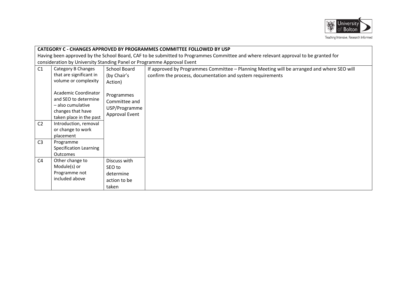

|                | CATEGORY C - CHANGES APPROVED BY PROGRAMMES COMMITTEE FOLLOWED BY USP                                                               |                                                                |                                                                                                                                                          |  |  |  |  |  |  |
|----------------|-------------------------------------------------------------------------------------------------------------------------------------|----------------------------------------------------------------|----------------------------------------------------------------------------------------------------------------------------------------------------------|--|--|--|--|--|--|
|                | Having been approved by the School Board, CAF to be submitted to Programmes Committee and where relevant approval to be granted for |                                                                |                                                                                                                                                          |  |  |  |  |  |  |
|                | consideration by University Standing Panel or Programme Approval Event                                                              |                                                                |                                                                                                                                                          |  |  |  |  |  |  |
| C1             | Category B Changes<br>that are significant in<br>volume or complexity                                                               | School Board<br>(by Chair's<br>Action)                         | If approved by Programmes Committee - Planning Meeting will be arranged and where SEO will<br>confirm the process, documentation and system requirements |  |  |  |  |  |  |
|                | <b>Academic Coordinator</b><br>and SEO to determine<br>– also cumulative<br>changes that have<br>taken place in the past            | Programmes<br>Committee and<br>USP/Programme<br>Approval Event |                                                                                                                                                          |  |  |  |  |  |  |
| C <sub>2</sub> | Introduction, removal<br>or change to work<br>placement                                                                             |                                                                |                                                                                                                                                          |  |  |  |  |  |  |
| C <sub>3</sub> | Programme<br>Specification Learning<br><b>Outcomes</b>                                                                              |                                                                |                                                                                                                                                          |  |  |  |  |  |  |
| C <sub>4</sub> | Other change to<br>Module(s) or<br>Programme not<br>included above                                                                  | Discuss with<br>SEO to<br>determine<br>action to be<br>taken   |                                                                                                                                                          |  |  |  |  |  |  |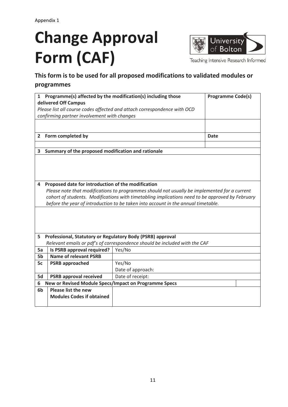# **Change Approval Form (CAF)**



Teaching Intensive Research Informed

# **This form is to be used for all proposed modifications to validated modules or programmes**

|                |                                                                                                 | 1 Programme(s) affected by the modification(s) including those             | <b>Programme Code(s)</b> |  |  |  |  |  |  |
|----------------|-------------------------------------------------------------------------------------------------|----------------------------------------------------------------------------|--------------------------|--|--|--|--|--|--|
|                | delivered Off Campus                                                                            |                                                                            |                          |  |  |  |  |  |  |
|                |                                                                                                 | Please list all course codes affected and attach correspondence with OCD   |                          |  |  |  |  |  |  |
|                | confirming partner involvement with changes                                                     |                                                                            |                          |  |  |  |  |  |  |
|                |                                                                                                 |                                                                            |                          |  |  |  |  |  |  |
|                |                                                                                                 |                                                                            |                          |  |  |  |  |  |  |
| $\mathbf{2}$   | Form completed by                                                                               |                                                                            | Date                     |  |  |  |  |  |  |
|                |                                                                                                 |                                                                            |                          |  |  |  |  |  |  |
| 3              | Summary of the proposed modification and rationale                                              |                                                                            |                          |  |  |  |  |  |  |
|                |                                                                                                 |                                                                            |                          |  |  |  |  |  |  |
|                |                                                                                                 |                                                                            |                          |  |  |  |  |  |  |
|                |                                                                                                 |                                                                            |                          |  |  |  |  |  |  |
|                |                                                                                                 |                                                                            |                          |  |  |  |  |  |  |
| 4              | Proposed date for introduction of the modification                                              |                                                                            |                          |  |  |  |  |  |  |
|                | Please note that modifications to programmes should not usually be implemented for a current    |                                                                            |                          |  |  |  |  |  |  |
|                | cohort of students. Modifications with timetabling implications need to be approved by February |                                                                            |                          |  |  |  |  |  |  |
|                | before the year of introduction to be taken into account in the annual timetable.               |                                                                            |                          |  |  |  |  |  |  |
|                |                                                                                                 |                                                                            |                          |  |  |  |  |  |  |
|                |                                                                                                 |                                                                            |                          |  |  |  |  |  |  |
|                |                                                                                                 |                                                                            |                          |  |  |  |  |  |  |
|                |                                                                                                 |                                                                            |                          |  |  |  |  |  |  |
| 5              | Professional, Statutory or Regulatory Body (PSRB) approval                                      |                                                                            |                          |  |  |  |  |  |  |
|                |                                                                                                 | Relevant emails or pdf's of correspondence should be included with the CAF |                          |  |  |  |  |  |  |
| 5a             | Is PSRB approval required?                                                                      | Yes/No                                                                     |                          |  |  |  |  |  |  |
| 5 <sub>b</sub> | <b>Name of relevant PSRB</b>                                                                    |                                                                            |                          |  |  |  |  |  |  |
| 5c             | <b>PSRB approached</b>                                                                          | Yes/No                                                                     |                          |  |  |  |  |  |  |
|                |                                                                                                 | Date of approach:                                                          |                          |  |  |  |  |  |  |
| 5d             | <b>PSRB approval received</b>                                                                   | Date of receipt:                                                           |                          |  |  |  |  |  |  |
| 6              | New or Revised Module Specs/Impact on Programme Specs                                           |                                                                            |                          |  |  |  |  |  |  |
| 6 <sub>b</sub> | Please list the new                                                                             |                                                                            |                          |  |  |  |  |  |  |
|                | <b>Modules Codes if obtained</b>                                                                |                                                                            |                          |  |  |  |  |  |  |
|                |                                                                                                 |                                                                            |                          |  |  |  |  |  |  |
|                |                                                                                                 |                                                                            |                          |  |  |  |  |  |  |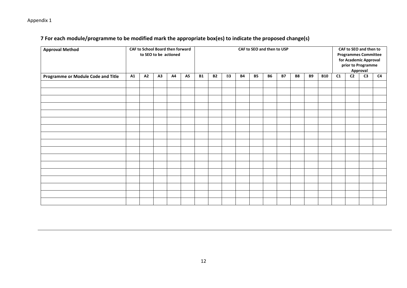## Appendix 1

## **7 For each module/programme to be modified mark the appropriate box(es) to indicate the proposed change(s)**

| <b>Approval Method</b>             |    |    | CAF to School Board then forward<br>to SEO to be actioned |    |           | CAF to SEO and then to USP |           |                |           |           |           | CAF to SEO and then to<br><b>Programmes Committee</b><br>for Academic Approval<br>prior to Programme<br>Approval |           |           |            |    |                |                |    |
|------------------------------------|----|----|-----------------------------------------------------------|----|-----------|----------------------------|-----------|----------------|-----------|-----------|-----------|------------------------------------------------------------------------------------------------------------------|-----------|-----------|------------|----|----------------|----------------|----|
| Programme or Module Code and Title | A1 | A2 | A3                                                        | A4 | <b>A5</b> | <b>B1</b>                  | <b>B2</b> | B <sub>3</sub> | <b>B4</b> | <b>B5</b> | <b>B6</b> | <b>B7</b>                                                                                                        | <b>B8</b> | <b>B9</b> | <b>B10</b> | C1 | C <sub>2</sub> | C <sub>3</sub> | C4 |
|                                    |    |    |                                                           |    |           |                            |           |                |           |           |           |                                                                                                                  |           |           |            |    |                |                |    |
|                                    |    |    |                                                           |    |           |                            |           |                |           |           |           |                                                                                                                  |           |           |            |    |                |                |    |
|                                    |    |    |                                                           |    |           |                            |           |                |           |           |           |                                                                                                                  |           |           |            |    |                |                |    |
|                                    |    |    |                                                           |    |           |                            |           |                |           |           |           |                                                                                                                  |           |           |            |    |                |                |    |
|                                    |    |    |                                                           |    |           |                            |           |                |           |           |           |                                                                                                                  |           |           |            |    |                |                |    |
|                                    |    |    |                                                           |    |           |                            |           |                |           |           |           |                                                                                                                  |           |           |            |    |                |                |    |
|                                    |    |    |                                                           |    |           |                            |           |                |           |           |           |                                                                                                                  |           |           |            |    |                |                |    |
|                                    |    |    |                                                           |    |           |                            |           |                |           |           |           |                                                                                                                  |           |           |            |    |                |                |    |
|                                    |    |    |                                                           |    |           |                            |           |                |           |           |           |                                                                                                                  |           |           |            |    |                |                |    |
|                                    |    |    |                                                           |    |           |                            |           |                |           |           |           |                                                                                                                  |           |           |            |    |                |                |    |
|                                    |    |    |                                                           |    |           |                            |           |                |           |           |           |                                                                                                                  |           |           |            |    |                |                |    |
|                                    |    |    |                                                           |    |           |                            |           |                |           |           |           |                                                                                                                  |           |           |            |    |                |                |    |
|                                    |    |    |                                                           |    |           |                            |           |                |           |           |           |                                                                                                                  |           |           |            |    |                |                |    |
|                                    |    |    |                                                           |    |           |                            |           |                |           |           |           |                                                                                                                  |           |           |            |    |                |                |    |
|                                    |    |    |                                                           |    |           |                            |           |                |           |           |           |                                                                                                                  |           |           |            |    |                |                |    |
|                                    |    |    |                                                           |    |           |                            |           |                |           |           |           |                                                                                                                  |           |           |            |    |                |                |    |
|                                    |    |    |                                                           |    |           |                            |           |                |           |           |           |                                                                                                                  |           |           |            |    |                |                |    |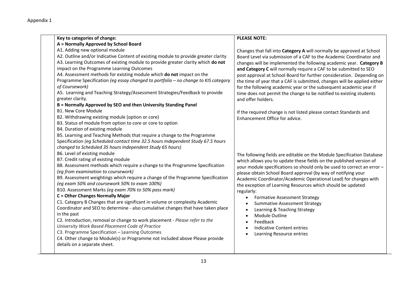Appendix 1

| Key to categories of change:                                                        | <b>PLEASE NOTE:</b>                                                      |
|-------------------------------------------------------------------------------------|--------------------------------------------------------------------------|
| A = Normally Approved by School Board                                               |                                                                          |
| A1. Adding new optional module                                                      | Changes that fall into Category A will normally be approved at School    |
| A2. Outline and/or Indicative Content of existing module to provide greater clarity | Board Level via submission of a CAF to the Academic Coordinator and      |
| A3. Learning Outcomes of existing module to provide greater clarity which do not    | changes will be implemented the following academic year. Category B      |
| impact on the Programme Learning Outcomes                                           | and Category C will normally require a CAF to be submitted to SEO        |
| A4. Assessment methods for existing module which do not impact on the               | post approval at School Board for further consideration. Depending on    |
| Programme Specification (eg essay changed to portfolio - no change to KIS category  | the time of year that a CAF is submitted, changes will be applied either |
| of Coursework)                                                                      | for the following academic year or the subsequent academic year if       |
| A5. Learning and Teaching Strategy/Assessment Strategies/Feedback to provide        | time does not permit the change to be notified to existing students      |
| greater clarity.                                                                    | and offer holders.                                                       |
| B = Normally Approved by SEO and then University Standing Panel                     |                                                                          |
| <b>B1. New Core Module</b>                                                          | If the required change is not listed please contact Standards and        |
| B2. Withdrawing existing module (option or core)                                    | Enhancement Office for advice.                                           |
| B3. Status of module from option to core or core to option                          |                                                                          |
| B4. Duration of existing module                                                     |                                                                          |
| B5. Learning and Teaching Methods that require a change to the Programme            |                                                                          |
| Specification (eg Scheduled contact time 32.5 hours Independent Study 67.5 hours    |                                                                          |
| changed to Scheduled 35 hours Independent Study 65 hours)                           |                                                                          |
| B6. Level of existing module                                                        | The following fields are editable on the Module Specification Database   |
| B7. Credit rating of existing module                                                | which allows you to update these fields on the published version of      |
| B8. Assessment methods which require a change to the Programme Specification        | your module specifications so should only be used to correct an error -  |
| (eq from examination to coursework)                                                 | please obtain School Board approval (by way of notifying your            |
| B9. Assessment weightings which require a change of the Programme Specification     | Academic Coordinator/Academic Operational Lead) for changes with         |
| (eg exam 50% and coursework 50% to exam 100%)                                       | the exception of Learning Resources which should be updated              |
| B10. Assessment Marks (eg exam 70% to 50% pass mark)                                | regularly:                                                               |
| <b>C</b> = Other Changes Normally Major                                             | <b>Formative Assessment Strategy</b>                                     |
| C1. Category B Changes that are significant in volume or complexity Academic        | <b>Summative Assessment Strategy</b>                                     |
| Coordinator and SEO to determine - also cumulative changes that have taken place    | Learning & Teaching Strategy                                             |
| in the past                                                                         | Module Outline                                                           |
| C2. Introduction, removal or change to work placement - Please refer to the         | Feedback                                                                 |
| University Work Based Placement Code of Practice                                    | <b>Indicative Content entries</b>                                        |
| C3. Programme Specification - Learning Outcomes                                     | Learning Resource entries                                                |
| C4. Other change to Module(s) or Programme not included above Please provide        |                                                                          |
| details on a separate sheet.                                                        |                                                                          |
|                                                                                     |                                                                          |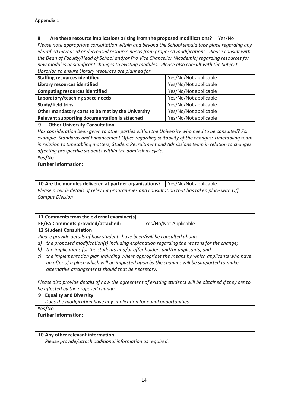## **8 Are there resource implications arising from the proposed modifications?** Yes/No

*Please note appropriate consultation within and beyond the School should take place regarding any identified increased or decreased resource needs from proposed modifications. Please consult with the Dean of Faculty/Head of School and/or Pro Vice Chancellor (Academic) regarding resources for new modules or significant changes to existing modules. Please also consult with the Subject Librarian to ensure Library resources are planned for.*

| <b>Staffing resources identified</b>              | Yes/No/Not applicable |
|---------------------------------------------------|-----------------------|
| <b>Library resources identified</b>               | Yes/No/Not applicable |
| <b>Computing resources identified</b>             | Yes/No/Not applicable |
| Laboratory/teaching space needs                   | Yes/No/Not applicable |
| Study/field trips                                 | Yes/No/Not applicable |
| Other mandatory costs to be met by the University | Yes/No/Not applicable |
| Relevant supporting documentation is attached     | Yes/No/Not applicable |
|                                                   |                       |

## **9 Other University Consultation**

*Has consideration been given to other parties within the University who need to be consulted? For example, Standards and Enhancement Office regarding suitability of the changes; Timetabling team in relation to timetabling matters; Student Recruitment and Admissions team in relation to changes affecting prospective students within the admissions cycle.*

### **Yes/No**

**Further information:**

**10** Are the modules delivered at partner organisations? | Yes/No/Not applicable

*Please provide details of relevant programmes and consultation that has taken place with Off Campus Division*

## **11 Comments from the external examiner(s)**

| <b>EE/EA Comments provided/attached:</b> | Yes/No/Not Applicable |
|------------------------------------------|-----------------------|
|                                          |                       |

## **12 Student Consultation**

*Please provide details of how students have been/will be consulted about:*

- *a) the proposed modification(s) including explanation regarding the reasons for the change;*
- *b) the implications for the students and/or offer holders and/or applicants; and*
- *c) the implementation plan including where appropriate the means by which applicants who have an offer of a place which will be impacted upon by the changes will be supported to make alternative arrangements should that be necessary.*

*Please also provide details of how the agreement of existing students will be obtained if they are to be affected by the proposed change.*

**9 Equality and Diversity** *Does the modification have any implication for equal opportunities*  **Yes/No**

## **Further information:**

## **10 Any other relevant information**

*Please provide/attach additional information as required.*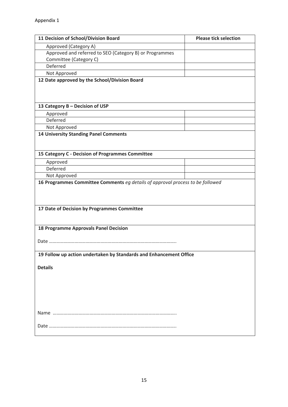| 11 Decision of School/Division Board                                           | <b>Please tick selection</b> |
|--------------------------------------------------------------------------------|------------------------------|
| Approved (Category A)                                                          |                              |
| Approved and referred to SEO (Category B) or Programmes                        |                              |
| Committee (Category C)                                                         |                              |
| Deferred                                                                       |                              |
| Not Approved                                                                   |                              |
| 12 Date approved by the School/Division Board                                  |                              |
|                                                                                |                              |
|                                                                                |                              |
| 13 Category B - Decision of USP                                                |                              |
|                                                                                |                              |
| Approved<br>Deferred                                                           |                              |
|                                                                                |                              |
| Not Approved<br><b>14 University Standing Panel Comments</b>                   |                              |
|                                                                                |                              |
|                                                                                |                              |
| 15 Category C - Decision of Programmes Committee                               |                              |
| Approved                                                                       |                              |
| Deferred                                                                       |                              |
| Not Approved                                                                   |                              |
| 16 Programmes Committee Comments eg details of approval process to be followed |                              |
|                                                                                |                              |
|                                                                                |                              |
|                                                                                |                              |
| 17 Date of Decision by Programmes Committee                                    |                              |
|                                                                                |                              |
|                                                                                |                              |
| <b>18 Programme Approvals Panel Decision</b>                                   |                              |
|                                                                                |                              |
|                                                                                |                              |
| 19 Follow up action undertaken by Standards and Enhancement Office             |                              |
|                                                                                |                              |
| <b>Details</b>                                                                 |                              |
|                                                                                |                              |
|                                                                                |                              |
|                                                                                |                              |
|                                                                                |                              |
|                                                                                |                              |
|                                                                                |                              |
|                                                                                |                              |
|                                                                                |                              |
|                                                                                |                              |
|                                                                                |                              |